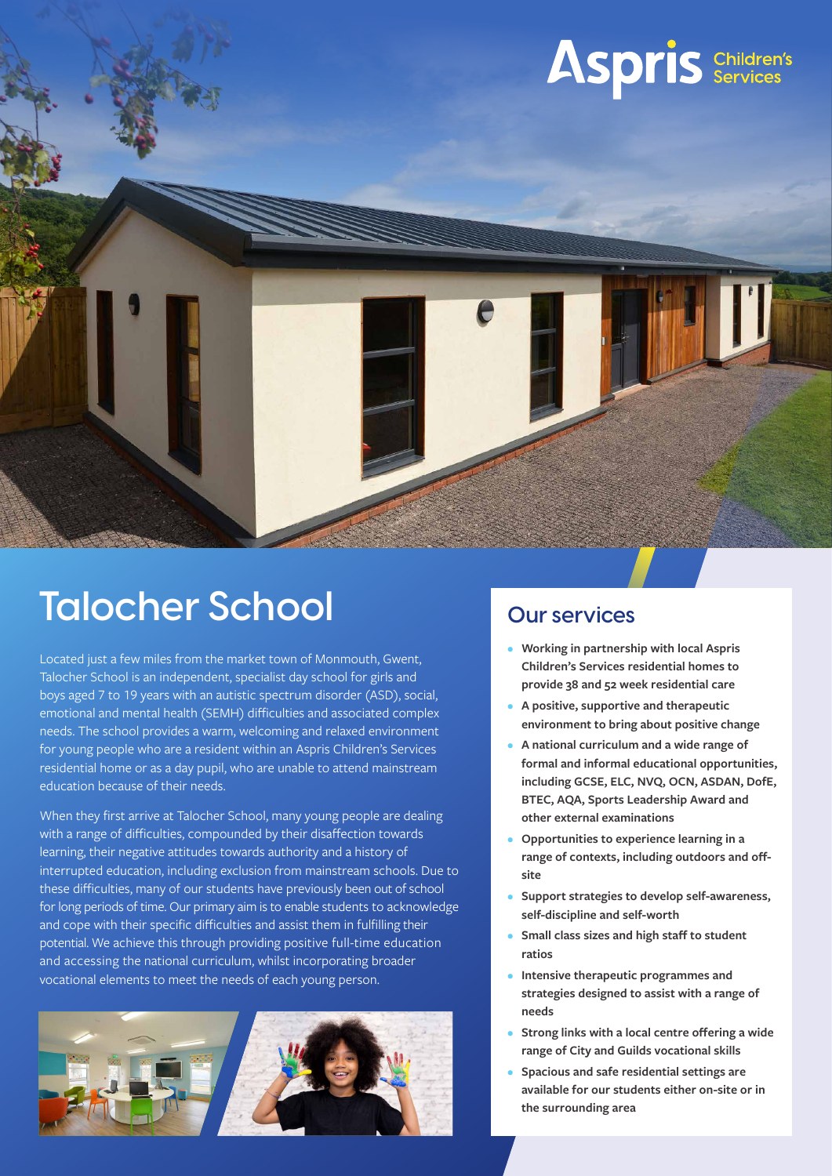

## **Talocher School**

Located just a few miles from the market town of Monmouth, Gwent, Talocher School is an independent, specialist day school for girls and boys aged 7 to 19 years with an autistic spectrum disorder (ASD), social, emotional and mental health (SEMH) difficulties and associated complex needs. The school provides a warm, welcoming and relaxed environment for young people who are a resident within an Aspris Children's Services residential home or as a day pupil, who are unable to attend mainstream education because of their needs.

When they first arrive at Talocher School, many young people are dealing with a range of difficulties, compounded by their disaffection towards learning, their negative attitudes towards authority and a history of interrupted education, including exclusion from mainstream schools. Due to these difficulties, many of our students have previously been out of school for long periods of time. Our primary aim is to enable students to acknowledge and cope with their specific difficulties and assist them in fulfilling their potential. We achieve this through providing positive full-time education and accessing the national curriculum, whilst incorporating broader vocational elements to meet the needs of each young person.



#### **Our services**

- **Working in partnership with local Aspris Children's Services residential homes to provide 38 and 52 week residential care**
- **A positive, supportive and therapeutic environment to bring about positive change**
- **A national curriculum and a wide range of formal and informal educational opportunities, including GCSE, ELC, NVQ, OCN, ASDAN, DofE, BTEC, AQA, Sports Leadership Award and other external examinations**
- **Opportunities to experience learning in a range of contexts, including outdoors and offsite**
- **Support strategies to develop self-awareness, self-discipline and self-worth**
- **Small class sizes and high staff to student ratios**
- **Intensive therapeutic programmes and strategies designed to assist with a range of needs**
- **Strong links with a local centre offering a wide range of City and Guilds vocational skills**
- **Spacious and safe residential settings are available for our students either on-site or in the surrounding area**